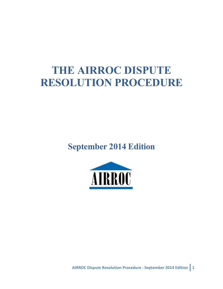# **THE AIRROC DISPUTE RESOLUTION PROCEDURE**

**September 2014 Edition**



**AIRROC Dispute Resolution Procedure : September 2014 Edition 1**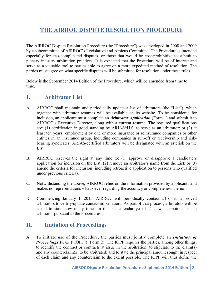# **THE AIRROC DISPUTE RESOLUTION PROCEDURE**

The AIRROC Dispute Resolution Procedure (the "Procedure") was developed in 2008 and 2009 by a subcommittee of AIRROC's Legislative and Amicus Committee. The Procedure is intended especially for less-complicated disputes, or those that would be cost-prohibitive to submit to plenary industry arbitration practices. It is expected that the Procedure will be of interest and serve as a valuable tool to parties able to agree on a more expedited method of resolution. The parties must agree on what specific disputes will be submitted for resolution under these rules.

Below is the September 2014 Edition of the Procedure, which will be amended from time to time.

#### **I. Arbitrator List**

- A. AIRROC shall maintain and periodically update a list of arbitrators (the "List"), which together with arbitrator resumes will be available on its website. To be considered for inclusion, an applicant must complete an *Arbitrator Application* (Form 1) and submit it to AIRROC's Executive Director, along with a current resume. The required qualifications are: (1) certification in good standing by ARIAS\*U.S. to serve as an arbitrator; or (2) at least ten years' employment by one or more insurance or reinsurance companies or other entities in an insurance group, including companies in run-off or receivership and riskbearing syndicates. ARIAS-certified arbitrators will be designated with an asterisk on the List.
- B. AIRROC reserves the right at any time to: (1) approve or disapprove a candidate's application for inclusion on the List; (2) remove an arbitrator's name from the List; or (3) amend the criteria for inclusion (including retroactive application to persons who qualified under previous criteria).
- C. Notwithstanding the above, AIRROC relies on the information provided by applicants and makes no representations whatsoever regarding the accuracy or completeness thereof.
- D. Commencing January 1, 2015, AIRROC will periodically contact all of its approved arbitrators to certify/update contact information. As part of that process, arbitrators will be asked to state how many times in the last calendar year he/she was appointed as an arbitrator pursuant to the Procedures.

## **II. Initiation of Proceedings**

A. To initiate use of the Procedure, the parties must jointly complete an *Initiation of Proceedings Form* ("IOPF") (Form 2). The IOPF requires the parties, among other things, to identify the contract or contracts at issue in the arbitration; to stipulate to the claim(s) and any counterclaim(s) to be arbitrated; and to state the principal amount sought in respect of each claim and any counterclaim to the extent possible. The IOPF will thus define the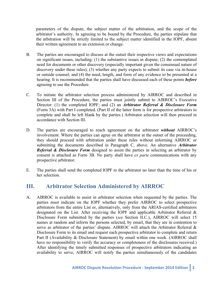parameters of the dispute, the subject matter of the arbitration, and the scope of the arbitrator's authority. In agreeing to be bound by the Procedure, the parties stipulate that the arbitration will be strictly limited to the subject matter identified in the IOPF, absent their written agreement to an extension or change.

- B. The parties are encouraged to discuss at the outset their respective views and expectations on significant issues, including: (1) the substantive issues in dispute; (2) the contemplated need for documents or other discovery (especially important given the consensual nature of discovery under these rules); (3) whether any party expects to submit its case via in-house or outside counsel; and (4) the need, length, and form of any evidence to be presented at a hearing. It is recommended that the parties shall have discussed each of these points *before*  agreeing to use the Procedure.
- C. To initiate the arbitrator selection process administered by AIRROC and described in Section III of the Procedure, the parties must jointly submit to AIRROC's Executive Director: (1) the completed IOPF; and (2) an *Arbitrator Referral & Disclosure Form*  (Form 3A) with Part I completed. (Part II of the latter form is for prospective arbitrators to complete and shall be left blank by the parties.) Arbitrator selection will then proceed in accordance with Section III.
- D. The parties are encouraged to reach agreement on the arbitrator *without* AIRROC's involvement. Where the parties can agree on the arbitrator at the outset of the proceeding, they should proceed with arbitration under these rules without informing AIRROC or submitting the documents described in Paragraph C, above. An alternative *Arbitrator Referral & Disclosure Form* designed to assist the parties in selecting an arbitrator by consent is attached as Form 3B. No party shall have *ex parte* communications with any prospective arbitrator.
- E. The parties shall send the completed IOPF to the arbitrator no later than the time of his or her selection.

## **III. Arbitrator Selection Administered by AIRROC**

A. AIRROC is available to assist in arbitrator selection when requested by the parties. The parties must indicate on the IOPF whether they prefer AIRROC to select prospective arbitrators from the entire List or, alternatively, only from the ARIAS-certified arbitrators designated on the List. After receiving the IOPF and applicable Arbitrator Referral & Disclosure Form submitted by the parties (*see* Section II.C.), AIRROC will select 15 names at random and inform the persons selected, by email, that they are in contention to serve as arbitrator of the parties' dispute. AIRROC will attach the Arbitrator Referral & Disclosure Form to its email and request each prospective arbitrator to complete and return Part II (Availability & Disclosure Statement) by email within one week. (AIRROC shall have no responsibility to verify the accuracy or completeness of the disclosures received.) After identifying the timely submitted responses of prospective arbitrators indicating an availability to serve, AIRROC will notify the parties simultaneously of the candidates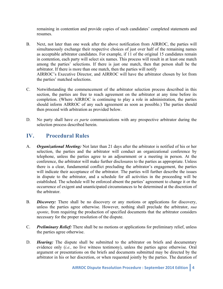remaining in contention and provide copies of such candidates' completed statements and resumes.

- B. Next, not later than one week after the above notification from AIRROC, the parties will simultaneously exchange their respective choices of just over half of the remaining names as acceptable arbitrator candidates. For example, if 11 of the original 15 candidates remain in contention, each party will select six names. This process will result in at least one match among the parties' selections. If there is just one match, then that person shall be the arbitrator. If there is more than one match, then the parties will notify AIRROC's Executive Director, and AIRROC will have the arbitrator chosen by lot from the parties' matched selections.
- C. Notwithstanding the commencement of the arbitrator selection process described in this section, the parties are free to reach agreement on the arbitrator at any time before its completion. (Where AIRROC is continuing to play a role in administration, the parties should inform AIRROC of any such agreement as soon as possible.) The parties should then proceed with arbitration as provided below.
- D. No party shall have *ex parte* communications with any prospective arbitrator during the selection process described herein.

## **IV. Procedural Rules**

- A. *Organizational Meeting:* Not later than 21 days after the arbitrator is notified of his or her selection, the parties and the arbitrator will conduct an organizational conference by telephone, unless the parties agree to an adjournment or a meeting in person. At the conference, the arbitrator will make further disclosures to the parties as appropriate. Unless there is a clear, fundamental conflict precluding the arbitrator's engagement, the parties will indicate their acceptance of the arbitrator. The parties will further describe the issues in dispute to the arbitrator, and a schedule for all activities in the proceeding will be established. The schedule will be enforced absent the parties' agreement to change it or the occurrence of exigent and unanticipated circumstances to be determined at the discretion of the arbitrator.
- B. *Discovery:* There shall be no discovery or any motions or applications for discovery, unless the parties agree otherwise. However, nothing shall preclude the arbitrator, *sua sponte*, from requiring the production of specified documents that the arbitrator considers necessary for the proper resolution of the dispute.
- C. *Preliminary Relief:* There shall be no motions or applications for preliminary relief, unless the parties agree otherwise.
- D. *Hearing:* The dispute shall be submitted to the arbitrator on briefs and documentary evidence only (*i.e.,* no live witness testimony), unless the parties agree otherwise. Oral argument or presentations on the briefs and documents submitted may be directed by the arbitrator in his or her discretion, or when requested jointly by the parties. The duration of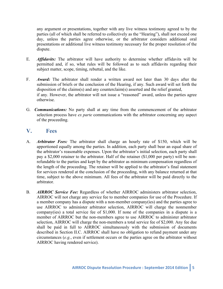any argument or presentations, together with any live witness testimony agreed to by the parties (all of which shall be referred to collectively as the "Hearing"), shall not exceed one day, unless the parties agree otherwise, or the arbitrator considers additional oral presentations or additional live witness testimony necessary for the proper resolution of the dispute.

- E. *Affidavits:* The arbitrator will have authority to determine whether affidavits will be permitted and, if so, what rules will be followed as to such affidavits regarding their subject matter, scope, timing, rebuttal, and the like.
- F. *Award:* The arbitrator shall render a written award not later than 30 days after the submission of briefs or the conclusion of the Hearing, if any. Such award will set forth the disposition of the claims(s) and any counterclaim(s) asserted and the relief granted, if any. However, the arbitrator will not issue a "reasoned" award, unless the parties agree otherwise.
- G. *Communications:* No party shall at any time from the commencement of the arbitrator selection process have *ex parte* communications with the arbitrator concerning any aspect of the proceeding.

#### **V. Fees**

- A. *Arbitrator Fees:* The arbitrator shall charge an hourly rate of \$150, which will be apportioned equally among the parties. In addition, each party shall bear an equal share of the arbitrator's reasonable expenses. Upon the arbitrator's initial selection, each party shall pay a \$2,000 retainer to the arbitrator. Half of the retainer (\$1,000 per party) will be nonrefundable to the parties and kept by the arbitrator as minimum compensation regardless of the length of the proceeding. The retainer will be applied to the arbitrator's final statement for services rendered at the conclusion of the proceeding, with any balance returned at that time, subject to the above minimum. All fees of the arbitrator will be paid directly to the arbitrator.
- B. *AIRROC Service Fee:* Regardless of whether AIRROC administers arbitrator selection, AIRROC will not charge any service fee to member companies for use of the Procedure. If a member company has a dispute with a non-member company(ies) and the parties agree to use AIRROC to administer arbitrator selection, AIRROC will charge the nonmember company(ies) a total service fee of \$1,000. If none of the companies in a dispute is a member of AIRROC but the non-members agree to use AIRROC to administer arbitrator selection, AIRROC will charge the non-members a total service fee of \$2,000. Any fee due shall be paid in full to AIRROC simultaneously with the submission of documents described in Section II.C. AIRROC shall have no obligation to refund payment under any circumstances (*e.g.*, even if settlement occurs or the parties agree on the arbitrator without AIRROC having rendered service).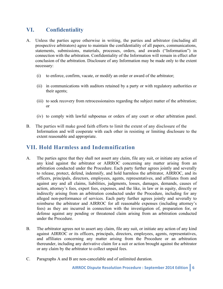## **VI. Confidentiality**

- A. Unless the parties agree otherwise in writing, the parties and arbitrator (including all prospective arbitrators) agree to maintain the confidentiality of all papers, communications, statements, submissions, materials, processes, orders, and awards ("Information") in connection with the arbitration. Confidentiality of the Information will remain in effect after conclusion of the arbitration. Disclosure of any Information may be made only to the extent necessary:
	- (i) to enforce, confirm, vacate, or modify an order or award of the arbitrator;
	- (ii) in communications with auditors retained by a party or with regulatory authorities or their agents;
	- (iii) to seek recovery from retrocessionaires regarding the subject matter of the arbitration; or
	- (iv) to comply with lawful subpoenas or orders of any court or other arbitration panel.
- B. The parties will make good faith efforts to limit the extent of any disclosure of the Information and will cooperate with each other in resisting or limiting disclosure to the extent reasonable and appropriate.

## **VII. Hold Harmless and Indemnification**

- A. The parties agree that they shall not assert any claim, file any suit, or initiate any action of any kind against the arbitrator or AIRROC concerning any matter arising from an arbitration conducted under the Procedure. Each party further agrees jointly and severally to release, protect, defend, indemnify, and hold harmless the arbitrator, AIRROC, and its officers, principals, directors, employees, agents, representatives, and affiliates from and against any and all claims, liabilities, judgments, losses, damages, demands, causes of action, attorney's fees, expert fees, expenses, and the like, in law or in equity, directly or indirectly arising from an arbitration conducted under the Procedure, including for any alleged non-performance of services. Each party further agrees jointly and severally to reimburse the arbitrator and AIRROC for all reasonable expenses (including attorney's fees) as they are incurred in connection with the investigation of, preparation for, or defense against any pending or threatened claim arising from an arbitration conducted under the Procedure.
- B. The arbitrator agrees not to assert any claim, file any suit, or initiate any action of any kind against AIRROC or its officers, principals, directors, employees, agents, representatives, and affiliates concerning any matter arising from the Procedure or an arbitration thereunder, including any derivative claim for a suit or action brought against the arbitrator or any claim by the arbitrator to collect unpaid fees.
- C. Paragraphs A and B are non-cancelable and of unlimited duration.